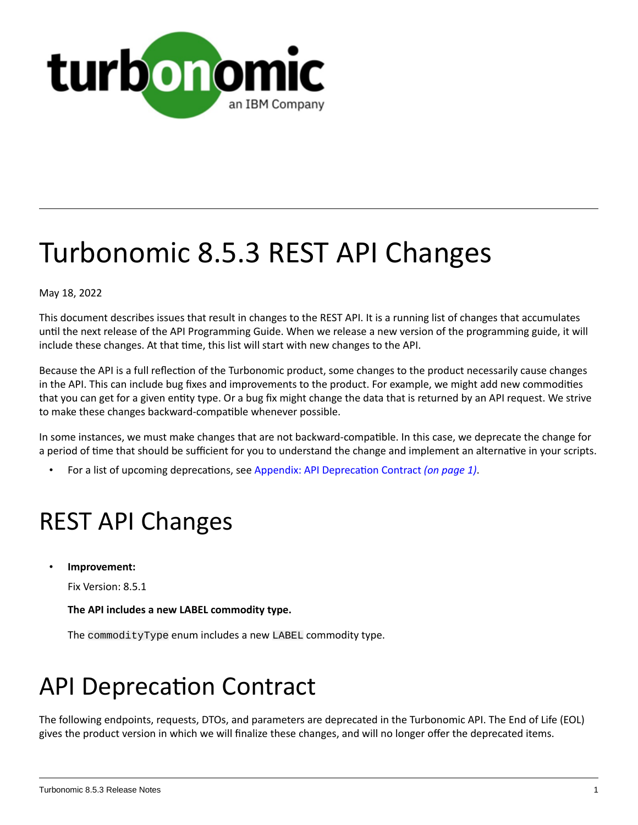

# Turbonomic 8.5.3 REST API Changes

May 18, 2022

This document describes issues that result in changes to the REST API. It is a running list of changes that accumulates until the next release of the API Programming Guide. When we release a new version of the programming guide, it will include these changes. At that time, this list will start with new changes to the API.

Because the API is a full reflection of the Turbonomic product, some changes to the product necessarily cause changes in the API. This can include bug fixes and improvements to the product. For example, we might add new commodities that you can get for a given entity type. Or a bug fix might change the data that is returned by an API request. We strive to make these changes backward-compatible whenever possible.

In some instances, we must make changes that are not backward-compatible. In this case, we deprecate the change for a period of time that should be sufficient for you to understand the change and implement an alternative in your scripts.

• For a list of upcoming deprecations, see Appendix: API [Deprecation](#page-0-0) Contract *[\(on page 1\)](#page-0-0)*.

# REST API Changes

• **Improvement:**

Fix Version: 8.5.1

**The API includes a new LABEL commodity type.**

The commodityType enum includes a new LABEL commodity type.

# <span id="page-0-0"></span>API Deprecation Contract

The following endpoints, requests, DTOs, and parameters are deprecated in the Turbonomic API. The End of Life (EOL) gives the product version in which we will finalize these changes, and will no longer offer the deprecated items.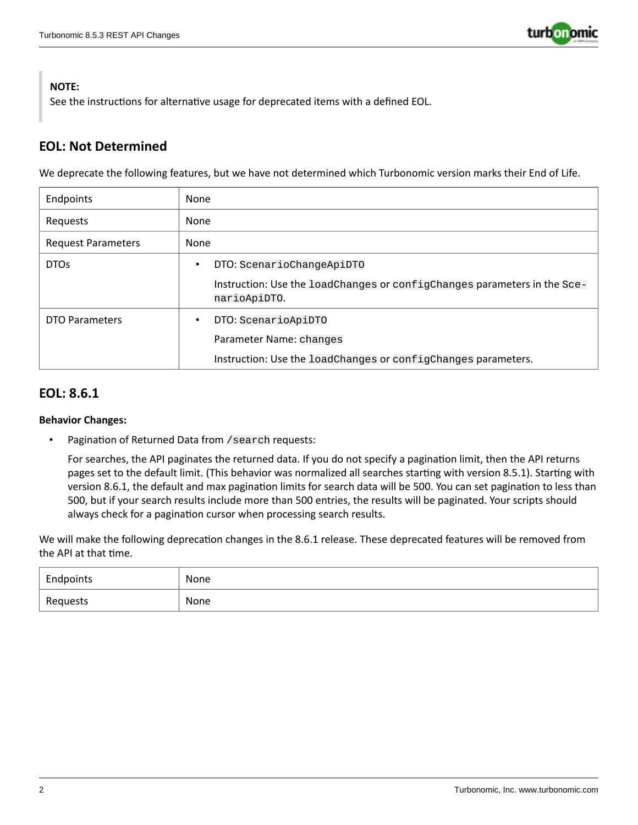

#### **NOTE:**

See the instructions for alternative usage for deprecated items with a defined EOL.

### **EOL: Not Determined**

We deprecate the following features, but we have not determined which Turbonomic version marks their End of Life.

| Endpoints                 | None                                                                                     |
|---------------------------|------------------------------------------------------------------------------------------|
| Requests                  | None                                                                                     |
| <b>Request Parameters</b> | None                                                                                     |
| DTO <sub>S</sub>          | DTO: ScenarioChangeApiDTO<br>$\bullet$                                                   |
|                           | Instruction: Use the loadChanges or configChanges parameters in the Sce-<br>narioApiDTO. |
| <b>DTO Parameters</b>     | DTO: ScenarioApiDTO<br>$\bullet$                                                         |
|                           | Parameter Name: changes                                                                  |
|                           | Instruction: Use the loadChanges or configChanges parameters.                            |

### **EOL: 8.6.1**

#### **Behavior Changes:**

Pagination of Returned Data from / search requests:

For searches, the API paginates the returned data. If you do not specify a pagination limit, then the API returns pages set to the default limit. (This behavior was normalized all searches starting with version 8.5.1). Starting with version 8.6.1, the default and max pagination limits for search data will be 500. You can set pagination to less than 500, but if your search results include more than 500 entries, the results will be paginated. Your scripts should always check for a pagination cursor when processing search results.

We will make the following deprecation changes in the 8.6.1 release. These deprecated features will be removed from the API at that time.

| Endpoints | None |
|-----------|------|
| Requests  | None |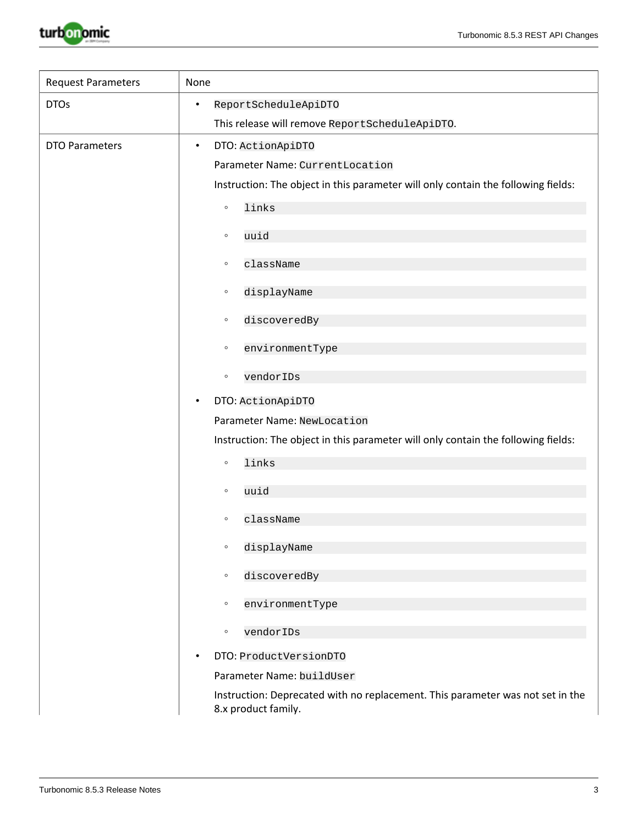

| <b>Request Parameters</b> | None                                                                                                  |
|---------------------------|-------------------------------------------------------------------------------------------------------|
| <b>DTOs</b>               | ReportScheduleApiDTO<br>$\bullet$                                                                     |
|                           | This release will remove ReportScheduleApiDTO.                                                        |
| <b>DTO Parameters</b>     | DTO: ActionApiDTO<br>$\bullet$                                                                        |
|                           | Parameter Name: CurrentLocation                                                                       |
|                           | Instruction: The object in this parameter will only contain the following fields:                     |
|                           | links<br>$\circ$                                                                                      |
|                           | uuid<br>$\circ$                                                                                       |
|                           | className<br>$\circ$                                                                                  |
|                           | displayName<br>$\circ$                                                                                |
|                           | discoveredBy<br>$\circ$                                                                               |
|                           | environmentType<br>$\circ$                                                                            |
|                           | vendorIDs<br>$\circ$                                                                                  |
|                           | DTO: ActionApiDTO<br>٠                                                                                |
|                           | Parameter Name: NewLocation                                                                           |
|                           | Instruction: The object in this parameter will only contain the following fields:                     |
|                           | links<br>$\circ$                                                                                      |
|                           | uuid<br>$\circ$                                                                                       |
|                           |                                                                                                       |
|                           | className<br>$\circ$                                                                                  |
|                           | displayName<br>$\circ$                                                                                |
|                           | discoveredBy<br>$\circ$                                                                               |
|                           | environmentType<br>$\circ$                                                                            |
|                           | vendorIDs<br>$\circ$                                                                                  |
|                           | DTO: ProductVersionDTO<br>٠                                                                           |
|                           | Parameter Name: buildUser                                                                             |
|                           | Instruction: Deprecated with no replacement. This parameter was not set in the<br>8.x product family. |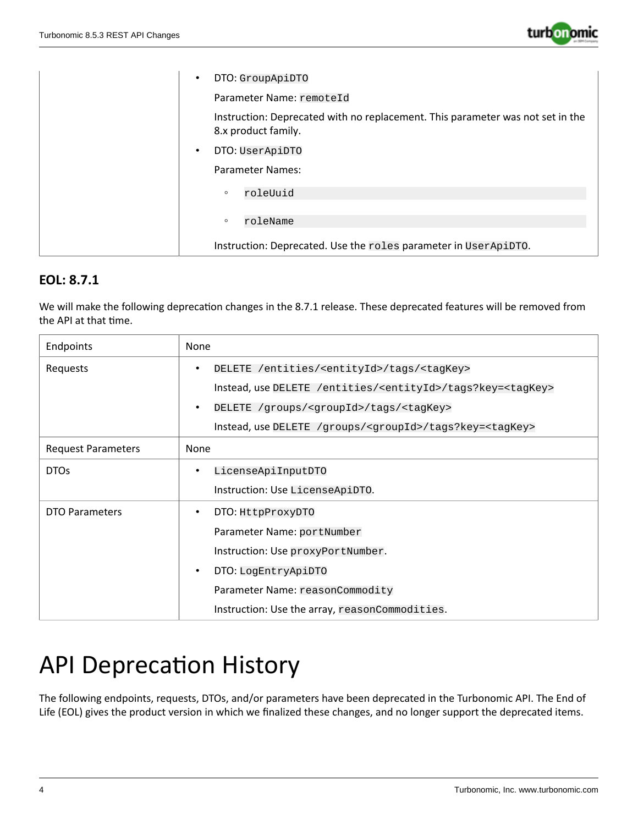

| DTO: GroupApiDTO<br>$\bullet$                                                                         |
|-------------------------------------------------------------------------------------------------------|
| Parameter Name: remoteId                                                                              |
| Instruction: Deprecated with no replacement. This parameter was not set in the<br>8.x product family. |
| DTO: UserApiDTO<br>$\bullet$                                                                          |
| Parameter Names:                                                                                      |
| roleUuid<br>$\circ$                                                                                   |
| roleName<br>$\circ$                                                                                   |
| Instruction: Deprecated. Use the roles parameter in UserApiDTO.                                       |

## **EOL: 8.7.1**

We will make the following deprecation changes in the 8.7.1 release. These deprecated features will be removed from the API at that time.

| Endpoints                 | None                                                                            |
|---------------------------|---------------------------------------------------------------------------------|
| Requests                  | DELETE /entities/ <entityid>/tags/<tagkey><br/>٠</tagkey></entityid>            |
|                           | Instead, use DELETE /entities/ <entityid>/tags?key=<tagkey></tagkey></entityid> |
|                           | DELETE /groups/ <groupid>/tags/<tagkey><br/>٠</tagkey></groupid>                |
|                           | Instead, use DELETE /groups/ <groupid>/tags?key=<tagkey></tagkey></groupid>     |
| <b>Request Parameters</b> | None                                                                            |
| <b>DTOs</b>               | LicenseApiInputDTO<br>٠                                                         |
|                           | Instruction: Use LicenseApiDTO.                                                 |
| DTO Parameters            | DTO: HttpProxyDTO<br>٠                                                          |
|                           | Parameter Name: portNumber                                                      |
|                           | Instruction: Use proxyPortNumber.                                               |
|                           | DTO: LogEntryApiDTO<br>$\bullet$                                                |
|                           | Parameter Name: reasonCommodity                                                 |
|                           | Instruction: Use the array, reasonCommodities.                                  |

# API Deprecation History

The following endpoints, requests, DTOs, and/or parameters have been deprecated in the Turbonomic API. The End of Life (EOL) gives the product version in which we finalized these changes, and no longer support the deprecated items.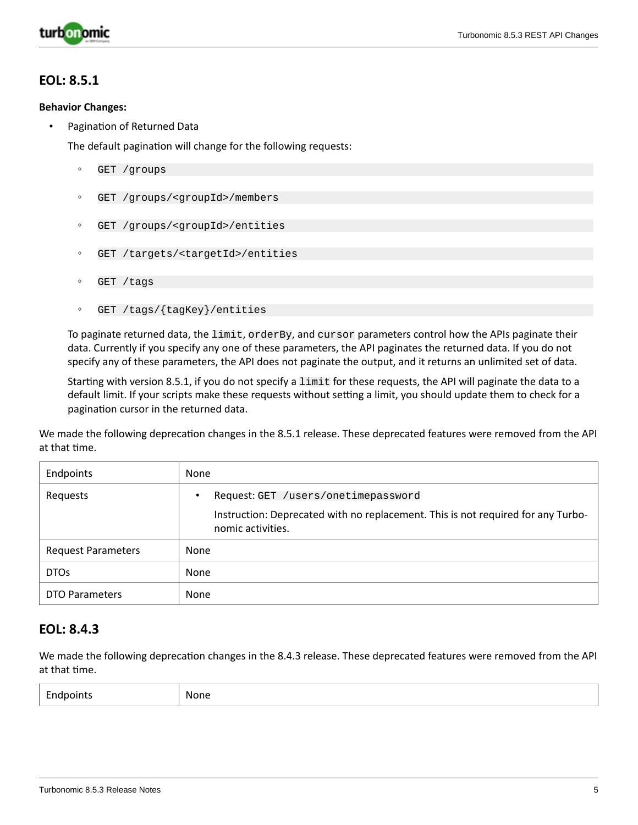

#### **EOL: 8.5.1**

#### **Behavior Changes:**

Pagination of Returned Data

The default pagination will change for the following requests:

- GET /groups
- GET /groups/<groupId>/members
- GET /groups/<groupId>/entities
- GET /targets/<targetId>/entities
- GET /tags
- GET /tags/{tagKey}/entities

To paginate returned data, the limit, orderBy, and cursor parameters control how the APIs paginate their data. Currently if you specify any one of these parameters, the API paginates the returned data. If you do not specify any of these parameters, the API does not paginate the output, and it returns an unlimited set of data.

Starting with version 8.5.1, if you do not specify a limit for these requests, the API will paginate the data to a default limit. If your scripts make these requests without setting a limit, you should update them to check for a pagination cursor in the returned data.

We made the following deprecation changes in the 8.5.1 release. These deprecated features were removed from the API at that time.

| Endpoints                 | None                                                                                                                                         |
|---------------------------|----------------------------------------------------------------------------------------------------------------------------------------------|
| Requests                  | Request: GET /users/onetimepassword<br>Instruction: Deprecated with no replacement. This is not required for any Turbo-<br>nomic activities. |
| <b>Request Parameters</b> | None                                                                                                                                         |
| DTO <sub>s</sub>          | None                                                                                                                                         |
| <b>DTO Parameters</b>     | None                                                                                                                                         |

### **EOL: 8.4.3**

We made the following deprecation changes in the 8.4.3 release. These deprecated features were removed from the API at that time.

| $\overline{\phantom{0}}$<br>Endpoints | None |
|---------------------------------------|------|
|---------------------------------------|------|